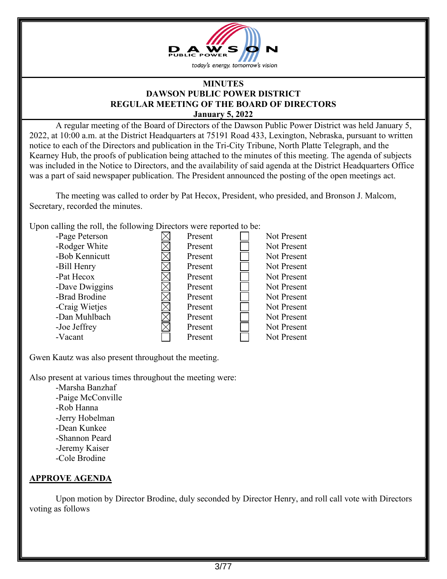

## **MINUTES DAWSON PUBLIC POWER DISTRICT REGULAR MEETING OF THE BOARD OF DIRECTORS January 5, 2022**

A regular meeting of the Board of Directors of the Dawson Public Power District was held January 5, 2022, at 10:00 a.m. at the District Headquarters at 75191 Road 433, Lexington, Nebraska, pursuant to written notice to each of the Directors and publication in the Tri-City Tribune, North Platte Telegraph, and the Kearney Hub, the proofs of publication being attached to the minutes of this meeting. The agenda of subjects was included in the Notice to Directors, and the availability of said agenda at the District Headquarters Office was a part of said newspaper publication. The President announced the posting of the open meetings act.

The meeting was called to order by Pat Hecox, President, who presided, and Bronson J. Malcom, Secretary, recorded the minutes.

Upon calling the roll, the following Directors were reported to be:

| -Page Peterson | Present | Not Present        |
|----------------|---------|--------------------|
| -Rodger White  | Present | Not Present        |
| -Bob Kennicutt | Present | Not Present        |
| -Bill Henry    | Present | Not Present        |
| -Pat Hecox     | Present | Not Present        |
| -Dave Dwiggins | Present | <b>Not Present</b> |
| -Brad Brodine  | Present | Not Present        |
| -Craig Wietjes | Present | <b>Not Present</b> |
| -Dan Muhlbach  | Present | Not Present        |
| -Joe Jeffrey   | Present | <b>Not Present</b> |
| -Vacant        | Present | Not Present        |

Gwen Kautz was also present throughout the meeting.

Also present at various times throughout the meeting were:

-Marsha Banzhaf -Paige McConville -Rob Hanna -Jerry Hobelman -Dean Kunkee -Shannon Peard -Jeremy Kaiser -Cole Brodine

## **APPROVE AGENDA**

Upon motion by Director Brodine, duly seconded by Director Henry, and roll call vote with Directors voting as follows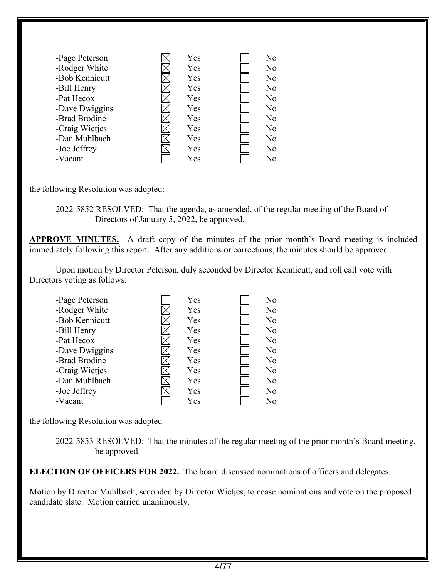| -Page Peterson | Yes | No             |
|----------------|-----|----------------|
| -Rodger White  | Yes | N <sub>o</sub> |
| -Bob Kennicutt | Yes | N <sub>o</sub> |
| -Bill Henry    | Yes | N <sub>o</sub> |
| -Pat Hecox     | Yes | No             |
| -Dave Dwiggins | Yes | No             |
| -Brad Brodine  | Yes | No             |
| -Craig Wietjes | Yes | No             |
| -Dan Muhlbach  | Yes | N <sub>o</sub> |
| -Joe Jeffrey   | Yes | No             |
| -Vacant        | Yes | No             |

the following Resolution was adopted:

2022-5852 RESOLVED: That the agenda, as amended, of the regular meeting of the Board of Directors of January 5, 2022, be approved.

**APPROVE MINUTES.** A draft copy of the minutes of the prior month's Board meeting is included immediately following this report. After any additions or corrections, the minutes should be approved.

Upon motion by Director Peterson, duly seconded by Director Kennicutt, and roll call vote with Directors voting as follows:

| -Page Peterson | Yes | No |
|----------------|-----|----|
| -Rodger White  | Yes | No |
| -Bob Kennicutt | Yes | No |
| -Bill Henry    | Yes | No |
| -Pat Hecox     | Yes | No |
| -Dave Dwiggins | Yes | No |
| -Brad Brodine  | Yes | No |
| -Craig Wietjes | Yes | No |
| -Dan Muhlbach  | Yes | No |
| -Joe Jeffrey   | Yes | No |
| -Vacant        | Yes | No |

the following Resolution was adopted

2022-5853 RESOLVED: That the minutes of the regular meeting of the prior month's Board meeting, be approved.

**ELECTION OF OFFICERS FOR 2022.** The board discussed nominations of officers and delegates.

Motion by Director Muhlbach, seconded by Director Wietjes, to cease nominations and vote on the proposed candidate slate. Motion carried unanimously.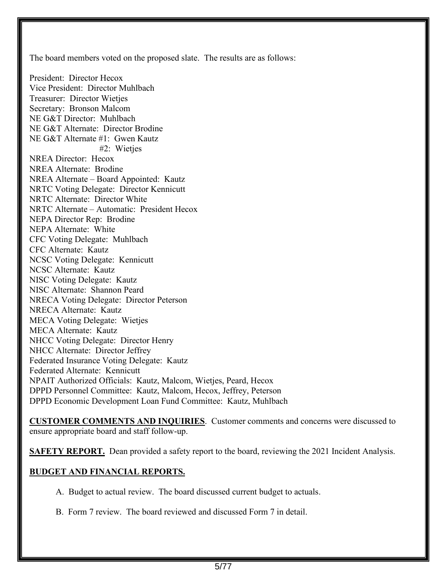The board members voted on the proposed slate. The results are as follows: President: Director Hecox Vice President: Director Muhlbach Treasurer: Director Wietjes Secretary: Bronson Malcom NE G&T Director: Muhlbach NE G&T Alternate: Director Brodine NE G&T Alternate #1: Gwen Kautz #2: Wieties NREA Director: Hecox NREA Alternate: Brodine NREA Alternate – Board Appointed: Kautz NRTC Voting Delegate: Director Kennicutt NRTC Alternate: Director White NRTC Alternate – Automatic: President Hecox NEPA Director Rep: Brodine NEPA Alternate: White CFC Voting Delegate: Muhlbach CFC Alternate: Kautz NCSC Voting Delegate: Kennicutt NCSC Alternate: Kautz NISC Voting Delegate: Kautz NISC Alternate: Shannon Peard NRECA Voting Delegate: Director Peterson NRECA Alternate: Kautz MECA Voting Delegate: Wietjes MECA Alternate: Kautz NHCC Voting Delegate: Director Henry NHCC Alternate: Director Jeffrey Federated Insurance Voting Delegate: Kautz Federated Alternate: Kennicutt NPAIT Authorized Officials: Kautz, Malcom, Wietjes, Peard, Hecox DPPD Personnel Committee: Kautz, Malcom, Hecox, Jeffrey, Peterson DPPD Economic Development Loan Fund Committee: Kautz, Muhlbach

**CUSTOMER COMMENTS AND INQUIRIES**. Customer comments and concerns were discussed to ensure appropriate board and staff follow-up.

**SAFETY REPORT.** Dean provided a safety report to the board, reviewing the 2021 Incident Analysis.

## **BUDGET AND FINANCIAL REPORTS.**

A. Budget to actual review. The board discussed current budget to actuals.

B. Form 7 review. The board reviewed and discussed Form 7 in detail.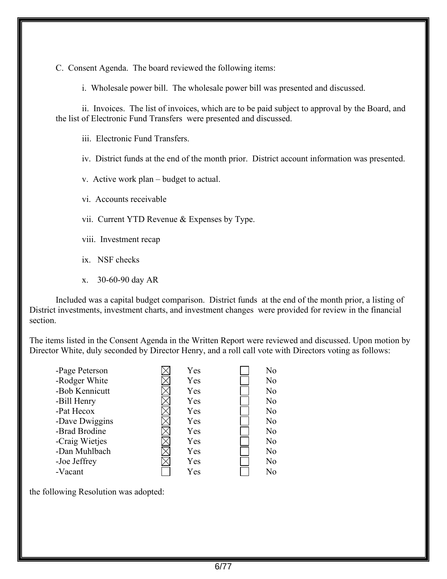C. Consent Agenda. The board reviewed the following items:

i. Wholesale power bill. The wholesale power bill was presented and discussed.

ii. Invoices. The list of invoices, which are to be paid subject to approval by the Board, and the list of Electronic Fund Transfers were presented and discussed.

iii. Electronic Fund Transfers.

iv. District funds at the end of the month prior. District account information was presented.

v. Active work plan – budget to actual.

vi. Accounts receivable

vii. Current YTD Revenue & Expenses by Type.

viii. Investment recap

- ix. NSF checks
- x. 30-60-90 day AR

Included was a capital budget comparison. District funds at the end of the month prior, a listing of District investments, investment charts, and investment changes were provided for review in the financial section.

The items listed in the Consent Agenda in the Written Report were reviewed and discussed. Upon motion by Director White, duly seconded by Director Henry, and a roll call vote with Directors voting as follows:

| -Page Peterson | Yes | No             |
|----------------|-----|----------------|
| -Rodger White  | Yes | N <sub>o</sub> |
| -Bob Kennicutt | Yes | N <sub>o</sub> |
| -Bill Henry    | Yes | No             |
| -Pat Hecox     | Yes | N <sub>o</sub> |
| -Dave Dwiggins | Yes | N <sub>o</sub> |
| -Brad Brodine  | Yes | N <sub>o</sub> |
| -Craig Wietjes | Yes | N <sub>o</sub> |
| -Dan Muhlbach  | Yes | N <sub>o</sub> |
| -Joe Jeffrey   | Yes | No             |
| -Vacant        | Yes | No             |

the following Resolution was adopted: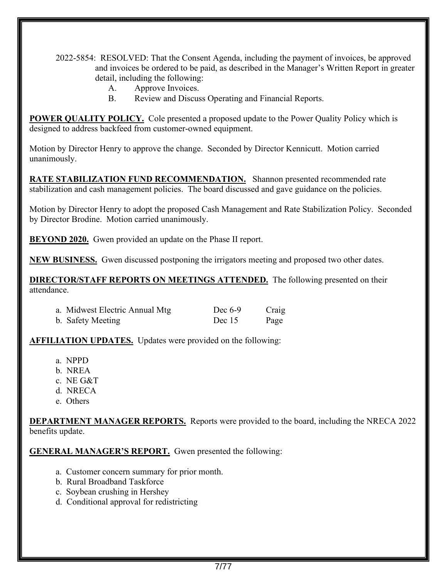2022-5854: RESOLVED: That the Consent Agenda, including the payment of invoices, be approved and invoices be ordered to be paid, as described in the Manager's Written Report in greater detail, including the following:

- A. Approve Invoices.
- B. Review and Discuss Operating and Financial Reports.

**POWER QUALITY POLICY.** Cole presented a proposed update to the Power Quality Policy which is designed to address backfeed from customer-owned equipment.

Motion by Director Henry to approve the change. Seconded by Director Kennicutt. Motion carried unanimously.

**RATE STABILIZATION FUND RECOMMENDATION.** Shannon presented recommended rate stabilization and cash management policies. The board discussed and gave guidance on the policies.

Motion by Director Henry to adopt the proposed Cash Management and Rate Stabilization Policy. Seconded by Director Brodine. Motion carried unanimously.

**BEYOND 2020.** Gwen provided an update on the Phase II report.

**NEW BUSINESS.** Gwen discussed postponing the irrigators meeting and proposed two other dates.

**DIRECTOR/STAFF REPORTS ON MEETINGS ATTENDED.** The following presented on their attendance.

| a. Midwest Electric Annual Mtg. | Dec $6-9$ | Craig |
|---------------------------------|-----------|-------|
| b. Safety Meeting               | Dec $15$  | Page  |

**AFFILIATION UPDATES.** Updates were provided on the following:

- a. NPPD
- b. NREA
- c. NE G&T
- d. NRECA
- e. Others

**DEPARTMENT MANAGER REPORTS.** Reports were provided to the board, including the NRECA 2022 benefits update.

**GENERAL MANAGER'S REPORT.** Gwen presented the following:

- a. Customer concern summary for prior month.
- b. Rural Broadband Taskforce
- c. Soybean crushing in Hershey
- d. Conditional approval for redistricting